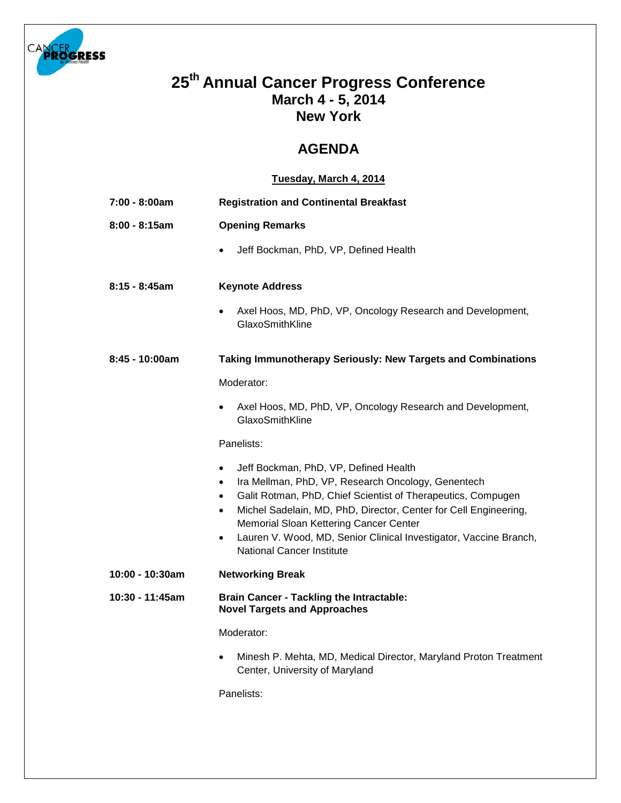

## **25th Annual Cancer Progress Conference March 4 - 5, 2014 New York**

## **AGENDA**

## **Tuesday, March 4, 2014**

| 7:00 - 8:00am   | <b>Registration and Continental Breakfast</b>                                                                                                                                                                                                                                                                                                                                                                                                       |  |
|-----------------|-----------------------------------------------------------------------------------------------------------------------------------------------------------------------------------------------------------------------------------------------------------------------------------------------------------------------------------------------------------------------------------------------------------------------------------------------------|--|
| $8:00 - 8:15am$ | <b>Opening Remarks</b>                                                                                                                                                                                                                                                                                                                                                                                                                              |  |
|                 | Jeff Bockman, PhD, VP, Defined Health<br>$\bullet$                                                                                                                                                                                                                                                                                                                                                                                                  |  |
| $8:15 - 8:45am$ | <b>Keynote Address</b>                                                                                                                                                                                                                                                                                                                                                                                                                              |  |
|                 | Axel Hoos, MD, PhD, VP, Oncology Research and Development,<br>GlaxoSmithKline                                                                                                                                                                                                                                                                                                                                                                       |  |
| 8:45 - 10:00am  | <b>Taking Immunotherapy Seriously: New Targets and Combinations</b>                                                                                                                                                                                                                                                                                                                                                                                 |  |
|                 | Moderator:                                                                                                                                                                                                                                                                                                                                                                                                                                          |  |
|                 | Axel Hoos, MD, PhD, VP, Oncology Research and Development,<br>$\bullet$<br>GlaxoSmithKline                                                                                                                                                                                                                                                                                                                                                          |  |
|                 | Panelists:                                                                                                                                                                                                                                                                                                                                                                                                                                          |  |
|                 | Jeff Bockman, PhD, VP, Defined Health<br>$\bullet$<br>Ira Mellman, PhD, VP, Research Oncology, Genentech<br>$\bullet$<br>Galit Rotman, PhD, Chief Scientist of Therapeutics, Compugen<br>$\bullet$<br>Michel Sadelain, MD, PhD, Director, Center for Cell Engineering,<br>$\bullet$<br>Memorial Sloan Kettering Cancer Center<br>Lauren V. Wood, MD, Senior Clinical Investigator, Vaccine Branch,<br>$\bullet$<br><b>National Cancer Institute</b> |  |
| 10:00 - 10:30am | <b>Networking Break</b>                                                                                                                                                                                                                                                                                                                                                                                                                             |  |
| 10:30 - 11:45am | <b>Brain Cancer - Tackling the Intractable:</b><br><b>Novel Targets and Approaches</b>                                                                                                                                                                                                                                                                                                                                                              |  |
|                 | Moderator:                                                                                                                                                                                                                                                                                                                                                                                                                                          |  |
|                 | Minesh P. Mehta, MD, Medical Director, Maryland Proton Treatment<br>$\bullet$<br>Center, University of Maryland                                                                                                                                                                                                                                                                                                                                     |  |

Panelists: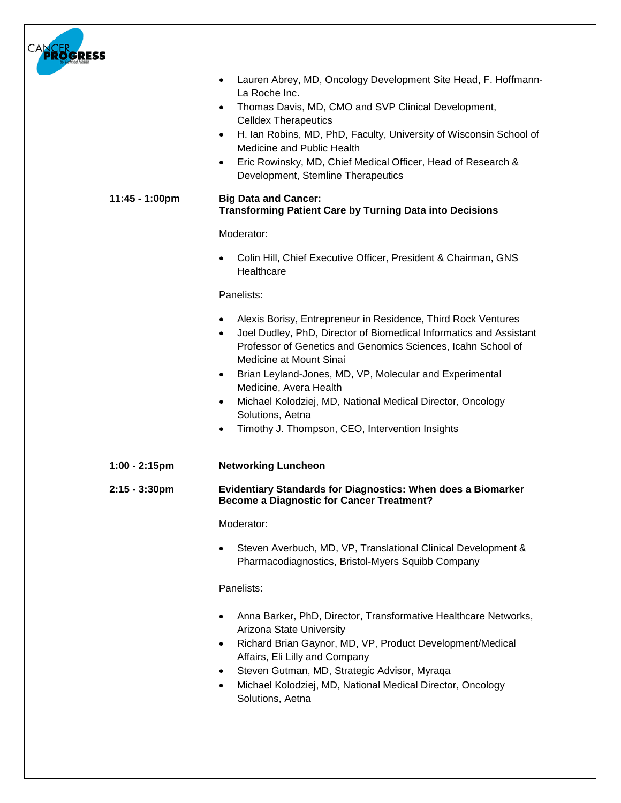| Lauren Abrey, MD, Oncology Development Site Head, F. Hoffmann-<br>$\bullet$<br>La Roche Inc.<br>Thomas Davis, MD, CMO and SVP Clinical Development,<br>$\bullet$<br><b>Celldex Therapeutics</b><br>H. Ian Robins, MD, PhD, Faculty, University of Wisconsin School of<br>٠<br>Medicine and Public Health<br>Eric Rowinsky, MD, Chief Medical Officer, Head of Research &<br>$\bullet$<br>Development, Stemline Therapeutics                                                             |
|-----------------------------------------------------------------------------------------------------------------------------------------------------------------------------------------------------------------------------------------------------------------------------------------------------------------------------------------------------------------------------------------------------------------------------------------------------------------------------------------|
| 11:45 - 1:00pm<br><b>Big Data and Cancer:</b><br><b>Transforming Patient Care by Turning Data into Decisions</b>                                                                                                                                                                                                                                                                                                                                                                        |
| Moderator:                                                                                                                                                                                                                                                                                                                                                                                                                                                                              |
| Colin Hill, Chief Executive Officer, President & Chairman, GNS<br>Healthcare                                                                                                                                                                                                                                                                                                                                                                                                            |
| Panelists:                                                                                                                                                                                                                                                                                                                                                                                                                                                                              |
| Alexis Borisy, Entrepreneur in Residence, Third Rock Ventures<br>Joel Dudley, PhD, Director of Biomedical Informatics and Assistant<br>$\bullet$<br>Professor of Genetics and Genomics Sciences, Icahn School of<br>Medicine at Mount Sinai<br>Brian Leyland-Jones, MD, VP, Molecular and Experimental<br>٠<br>Medicine, Avera Health<br>Michael Kolodziej, MD, National Medical Director, Oncology<br>Solutions, Aetna<br>Timothy J. Thompson, CEO, Intervention Insights<br>$\bullet$ |
| $1:00 - 2:15$ pm<br><b>Networking Luncheon</b>                                                                                                                                                                                                                                                                                                                                                                                                                                          |
| Evidentiary Standards for Diagnostics: When does a Biomarker<br>2:15 - 3:30pm<br><b>Become a Diagnostic for Cancer Treatment?</b>                                                                                                                                                                                                                                                                                                                                                       |
| Moderator:                                                                                                                                                                                                                                                                                                                                                                                                                                                                              |
| Steven Averbuch, MD, VP, Translational Clinical Development &<br>Pharmacodiagnostics, Bristol-Myers Squibb Company                                                                                                                                                                                                                                                                                                                                                                      |
| Panelists:                                                                                                                                                                                                                                                                                                                                                                                                                                                                              |
| Anna Barker, PhD, Director, Transformative Healthcare Networks,<br>Arizona State University<br>Richard Brian Gaynor, MD, VP, Product Development/Medical<br>$\bullet$<br>Affairs, Eli Lilly and Company<br>Steven Gutman, MD, Strategic Advisor, Myraqa<br>Michael Kolodziej, MD, National Medical Director, Oncology<br>Solutions, Aetna                                                                                                                                               |
|                                                                                                                                                                                                                                                                                                                                                                                                                                                                                         |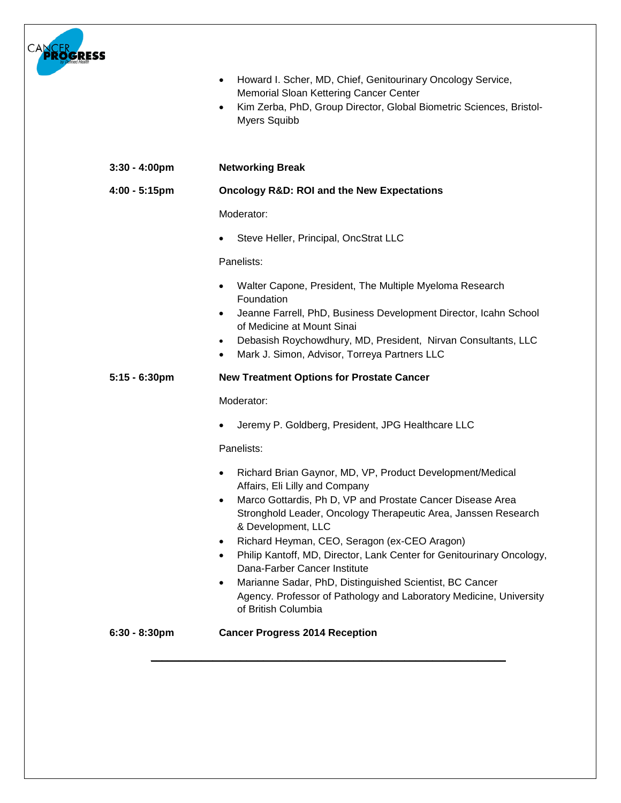

|                  | Howard I. Scher, MD, Chief, Genitourinary Oncology Service,<br>$\bullet$<br>Memorial Sloan Kettering Cancer Center<br>Kim Zerba, PhD, Group Director, Global Biometric Sciences, Bristol-<br>$\bullet$<br><b>Myers Squibb</b>                                                                                                                                                                                                                                                                                                                                                                                       |  |
|------------------|---------------------------------------------------------------------------------------------------------------------------------------------------------------------------------------------------------------------------------------------------------------------------------------------------------------------------------------------------------------------------------------------------------------------------------------------------------------------------------------------------------------------------------------------------------------------------------------------------------------------|--|
| $3:30 - 4:00$ pm | <b>Networking Break</b>                                                                                                                                                                                                                                                                                                                                                                                                                                                                                                                                                                                             |  |
| 4:00 - 5:15pm    | <b>Oncology R&amp;D: ROI and the New Expectations</b>                                                                                                                                                                                                                                                                                                                                                                                                                                                                                                                                                               |  |
|                  | Moderator:                                                                                                                                                                                                                                                                                                                                                                                                                                                                                                                                                                                                          |  |
|                  | Steve Heller, Principal, OncStrat LLC                                                                                                                                                                                                                                                                                                                                                                                                                                                                                                                                                                               |  |
|                  | Panelists:                                                                                                                                                                                                                                                                                                                                                                                                                                                                                                                                                                                                          |  |
|                  | Walter Capone, President, The Multiple Myeloma Research<br>$\bullet$<br>Foundation<br>Jeanne Farrell, PhD, Business Development Director, Icahn School<br>$\bullet$<br>of Medicine at Mount Sinai<br>Debasish Roychowdhury, MD, President, Nirvan Consultants, LLC<br>$\bullet$<br>Mark J. Simon, Advisor, Torreya Partners LLC<br>$\bullet$                                                                                                                                                                                                                                                                        |  |
| $5:15 - 6:30$ pm | <b>New Treatment Options for Prostate Cancer</b>                                                                                                                                                                                                                                                                                                                                                                                                                                                                                                                                                                    |  |
|                  | Moderator:                                                                                                                                                                                                                                                                                                                                                                                                                                                                                                                                                                                                          |  |
|                  | Jeremy P. Goldberg, President, JPG Healthcare LLC                                                                                                                                                                                                                                                                                                                                                                                                                                                                                                                                                                   |  |
|                  | Panelists:                                                                                                                                                                                                                                                                                                                                                                                                                                                                                                                                                                                                          |  |
|                  | Richard Brian Gaynor, MD, VP, Product Development/Medical<br>$\bullet$<br>Affairs, Eli Lilly and Company<br>Marco Gottardis, Ph D, VP and Prostate Cancer Disease Area<br>٠<br>Stronghold Leader, Oncology Therapeutic Area, Janssen Research<br>& Development, LLC<br>Richard Heyman, CEO, Seragon (ex-CEO Aragon)<br>$\bullet$<br>Philip Kantoff, MD, Director, Lank Center for Genitourinary Oncology,<br>$\bullet$<br>Dana-Farber Cancer Institute<br>Marianne Sadar, PhD, Distinguished Scientist, BC Cancer<br>٠<br>Agency. Professor of Pathology and Laboratory Medicine, University<br>of British Columbia |  |
| $6:30 - 8:30$ pm | <b>Cancer Progress 2014 Reception</b>                                                                                                                                                                                                                                                                                                                                                                                                                                                                                                                                                                               |  |
|                  |                                                                                                                                                                                                                                                                                                                                                                                                                                                                                                                                                                                                                     |  |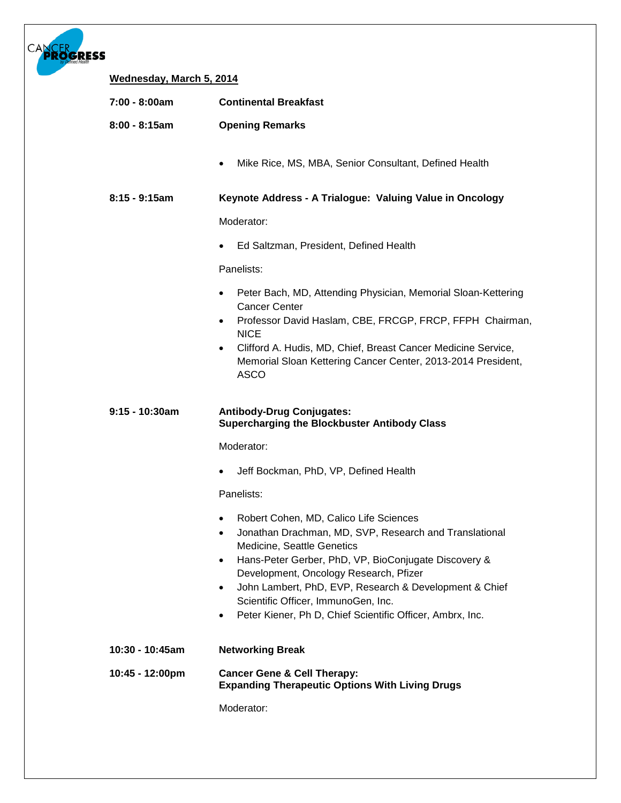| ogress |                          |                                                                                                                                                                                                                                                                                                                                                                                                                          |
|--------|--------------------------|--------------------------------------------------------------------------------------------------------------------------------------------------------------------------------------------------------------------------------------------------------------------------------------------------------------------------------------------------------------------------------------------------------------------------|
|        | Wednesday, March 5, 2014 |                                                                                                                                                                                                                                                                                                                                                                                                                          |
|        | 7:00 - 8:00am            | <b>Continental Breakfast</b>                                                                                                                                                                                                                                                                                                                                                                                             |
|        | $8:00 - 8:15am$          | <b>Opening Remarks</b>                                                                                                                                                                                                                                                                                                                                                                                                   |
|        |                          | Mike Rice, MS, MBA, Senior Consultant, Defined Health                                                                                                                                                                                                                                                                                                                                                                    |
|        | $8:15 - 9:15am$          | Keynote Address - A Trialogue: Valuing Value in Oncology                                                                                                                                                                                                                                                                                                                                                                 |
|        |                          | Moderator:                                                                                                                                                                                                                                                                                                                                                                                                               |
|        |                          | Ed Saltzman, President, Defined Health                                                                                                                                                                                                                                                                                                                                                                                   |
|        |                          | Panelists:                                                                                                                                                                                                                                                                                                                                                                                                               |
|        |                          | Peter Bach, MD, Attending Physician, Memorial Sloan-Kettering<br><b>Cancer Center</b><br>Professor David Haslam, CBE, FRCGP, FRCP, FFPH Chairman,<br>$\bullet$<br><b>NICE</b><br>Clifford A. Hudis, MD, Chief, Breast Cancer Medicine Service,<br>$\bullet$<br>Memorial Sloan Kettering Cancer Center, 2013-2014 President,<br><b>ASCO</b>                                                                               |
|        | $9:15 - 10:30am$         | <b>Antibody-Drug Conjugates:</b><br><b>Supercharging the Blockbuster Antibody Class</b>                                                                                                                                                                                                                                                                                                                                  |
|        |                          | Moderator:                                                                                                                                                                                                                                                                                                                                                                                                               |
|        |                          | Jeff Bockman, PhD, VP, Defined Health<br>٠                                                                                                                                                                                                                                                                                                                                                                               |
|        |                          | Panelists:                                                                                                                                                                                                                                                                                                                                                                                                               |
|        |                          | Robert Cohen, MD, Calico Life Sciences<br>$\bullet$<br>Jonathan Drachman, MD, SVP, Research and Translational<br>Medicine, Seattle Genetics<br>Hans-Peter Gerber, PhD, VP, BioConjugate Discovery &<br>$\bullet$<br>Development, Oncology Research, Pfizer<br>John Lambert, PhD, EVP, Research & Development & Chief<br>Scientific Officer, ImmunoGen, Inc.<br>Peter Kiener, Ph D, Chief Scientific Officer, Ambrx, Inc. |
|        | 10:30 - 10:45am          | <b>Networking Break</b>                                                                                                                                                                                                                                                                                                                                                                                                  |
|        | 10:45 - 12:00pm          | <b>Cancer Gene &amp; Cell Therapy:</b><br><b>Expanding Therapeutic Options With Living Drugs</b>                                                                                                                                                                                                                                                                                                                         |
|        |                          | Moderator:                                                                                                                                                                                                                                                                                                                                                                                                               |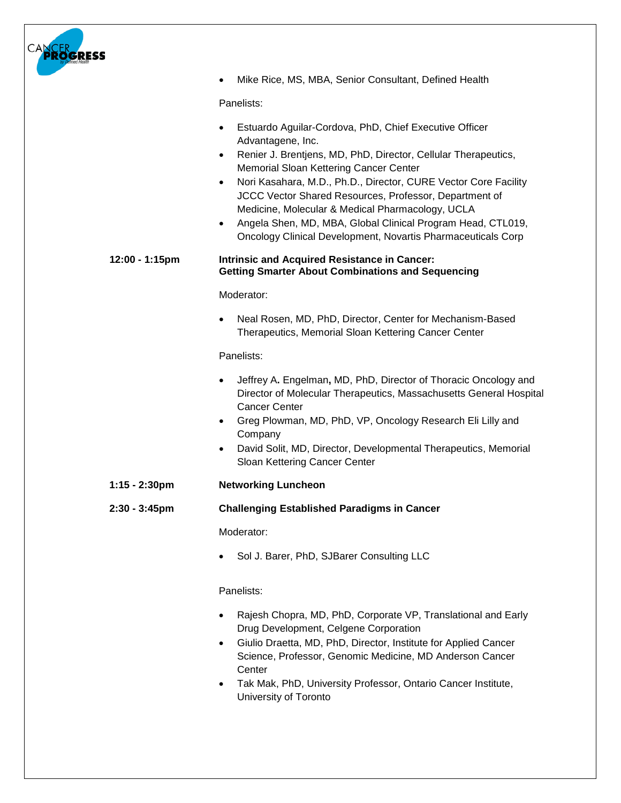| OGRESS           |                                                                                                                                                                                                                                                                                                                                                                                                                                                                                                                                                             |
|------------------|-------------------------------------------------------------------------------------------------------------------------------------------------------------------------------------------------------------------------------------------------------------------------------------------------------------------------------------------------------------------------------------------------------------------------------------------------------------------------------------------------------------------------------------------------------------|
|                  | Mike Rice, MS, MBA, Senior Consultant, Defined Health                                                                                                                                                                                                                                                                                                                                                                                                                                                                                                       |
|                  | Panelists:                                                                                                                                                                                                                                                                                                                                                                                                                                                                                                                                                  |
|                  | Estuardo Aguilar-Cordova, PhD, Chief Executive Officer<br>$\bullet$<br>Advantagene, Inc.<br>Renier J. Brentjens, MD, PhD, Director, Cellular Therapeutics,<br>$\bullet$<br>Memorial Sloan Kettering Cancer Center<br>Nori Kasahara, M.D., Ph.D., Director, CURE Vector Core Facility<br>$\bullet$<br>JCCC Vector Shared Resources, Professor, Department of<br>Medicine, Molecular & Medical Pharmacology, UCLA<br>Angela Shen, MD, MBA, Global Clinical Program Head, CTL019,<br>$\bullet$<br>Oncology Clinical Development, Novartis Pharmaceuticals Corp |
| 12:00 - 1:15pm   | <b>Intrinsic and Acquired Resistance in Cancer:</b><br><b>Getting Smarter About Combinations and Sequencing</b>                                                                                                                                                                                                                                                                                                                                                                                                                                             |
|                  | Moderator:                                                                                                                                                                                                                                                                                                                                                                                                                                                                                                                                                  |
|                  | Neal Rosen, MD, PhD, Director, Center for Mechanism-Based<br>Therapeutics, Memorial Sloan Kettering Cancer Center                                                                                                                                                                                                                                                                                                                                                                                                                                           |
|                  | Panelists:                                                                                                                                                                                                                                                                                                                                                                                                                                                                                                                                                  |
|                  | Jeffrey A. Engelman, MD, PhD, Director of Thoracic Oncology and<br>Director of Molecular Therapeutics, Massachusetts General Hospital<br><b>Cancer Center</b><br>Greg Plowman, MD, PhD, VP, Oncology Research Eli Lilly and<br>٠<br>Company<br>David Solit, MD, Director, Developmental Therapeutics, Memorial<br>٠<br>Sloan Kettering Cancer Center                                                                                                                                                                                                        |
| 1:15 - 2:30pm    | <b>Networking Luncheon</b>                                                                                                                                                                                                                                                                                                                                                                                                                                                                                                                                  |
| $2:30 - 3:45$ pm | <b>Challenging Established Paradigms in Cancer</b>                                                                                                                                                                                                                                                                                                                                                                                                                                                                                                          |
|                  | Moderator:                                                                                                                                                                                                                                                                                                                                                                                                                                                                                                                                                  |
|                  | Sol J. Barer, PhD, SJBarer Consulting LLC                                                                                                                                                                                                                                                                                                                                                                                                                                                                                                                   |
|                  | Panelists:<br>Rajesh Chopra, MD, PhD, Corporate VP, Translational and Early<br>Drug Development, Celgene Corporation<br>Giulio Draetta, MD, PhD, Director, Institute for Applied Cancer<br>Science, Professor, Genomic Medicine, MD Anderson Cancer<br>Center<br>Tak Mak, PhD, University Professor, Ontario Cancer Institute,<br>University of Toronto                                                                                                                                                                                                     |